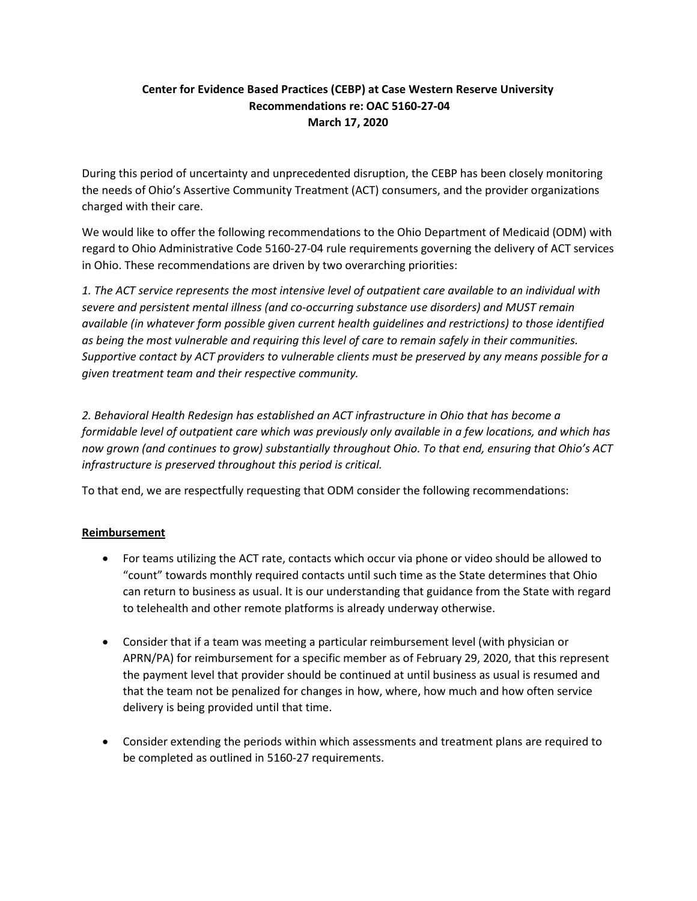## Center for Evidence Based Practices (CEBP) at Case Western Reserve University Recommendations re: OAC 5160-27-04 March 17, 2020

During this period of uncertainty and unprecedented disruption, the CEBP has been closely monitoring the needs of Ohio's Assertive Community Treatment (ACT) consumers, and the provider organizations charged with their care.

We would like to offer the following recommendations to the Ohio Department of Medicaid (ODM) with regard to Ohio Administrative Code 5160-27-04 rule requirements governing the delivery of ACT services in Ohio. These recommendations are driven by two overarching priorities:

1. The ACT service represents the most intensive level of outpatient care available to an individual with severe and persistent mental illness (and co-occurring substance use disorders) and MUST remain available (in whatever form possible given current health guidelines and restrictions) to those identified as being the most vulnerable and requiring this level of care to remain safely in their communities. Supportive contact by ACT providers to vulnerable clients must be preserved by any means possible for a given treatment team and their respective community.

2. Behavioral Health Redesign has established an ACT infrastructure in Ohio that has become a formidable level of outpatient care which was previously only available in a few locations, and which has now grown (and continues to grow) substantially throughout Ohio. To that end, ensuring that Ohio's ACT infrastructure is preserved throughout this period is critical.

To that end, we are respectfully requesting that ODM consider the following recommendations:

## Reimbursement

- For teams utilizing the ACT rate, contacts which occur via phone or video should be allowed to "count" towards monthly required contacts until such time as the State determines that Ohio can return to business as usual. It is our understanding that guidance from the State with regard to telehealth and other remote platforms is already underway otherwise.
- Consider that if a team was meeting a particular reimbursement level (with physician or APRN/PA) for reimbursement for a specific member as of February 29, 2020, that this represent the payment level that provider should be continued at until business as usual is resumed and that the team not be penalized for changes in how, where, how much and how often service delivery is being provided until that time.
- Consider extending the periods within which assessments and treatment plans are required to be completed as outlined in 5160-27 requirements.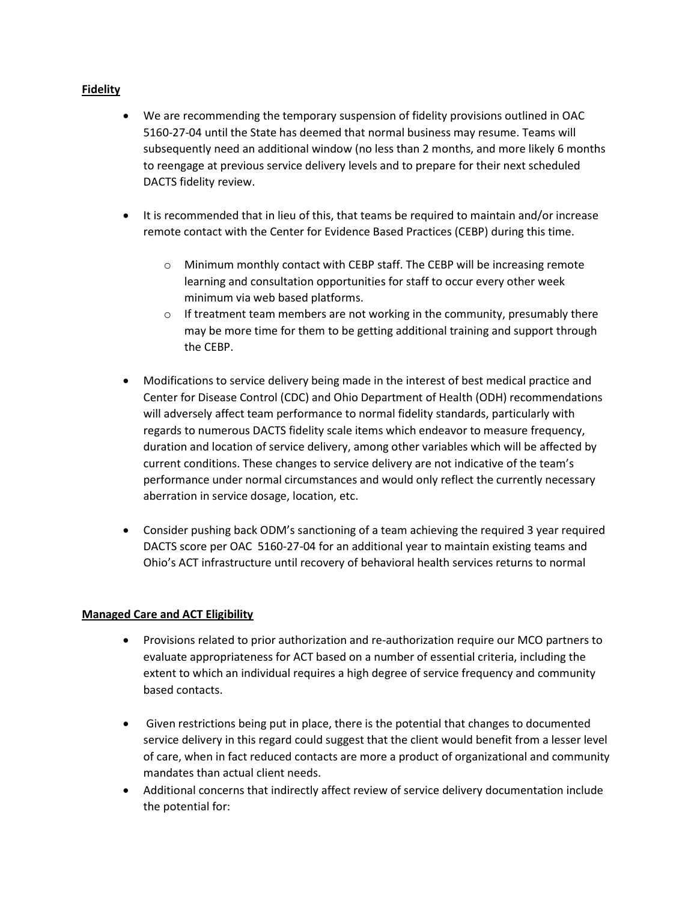## Fidelity

- We are recommending the temporary suspension of fidelity provisions outlined in OAC 5160-27-04 until the State has deemed that normal business may resume. Teams will subsequently need an additional window (no less than 2 months, and more likely 6 months to reengage at previous service delivery levels and to prepare for their next scheduled DACTS fidelity review.
- It is recommended that in lieu of this, that teams be required to maintain and/or increase remote contact with the Center for Evidence Based Practices (CEBP) during this time.
	- o Minimum monthly contact with CEBP staff. The CEBP will be increasing remote learning and consultation opportunities for staff to occur every other week minimum via web based platforms.
	- $\circ$  If treatment team members are not working in the community, presumably there may be more time for them to be getting additional training and support through the CEBP.
- Modifications to service delivery being made in the interest of best medical practice and Center for Disease Control (CDC) and Ohio Department of Health (ODH) recommendations will adversely affect team performance to normal fidelity standards, particularly with regards to numerous DACTS fidelity scale items which endeavor to measure frequency, duration and location of service delivery, among other variables which will be affected by current conditions. These changes to service delivery are not indicative of the team's performance under normal circumstances and would only reflect the currently necessary aberration in service dosage, location, etc.
- Consider pushing back ODM's sanctioning of a team achieving the required 3 year required DACTS score per OAC 5160-27-04 for an additional year to maintain existing teams and Ohio's ACT infrastructure until recovery of behavioral health services returns to normal

## Managed Care and ACT Eligibility

- Provisions related to prior authorization and re-authorization require our MCO partners to evaluate appropriateness for ACT based on a number of essential criteria, including the extent to which an individual requires a high degree of service frequency and community based contacts.
- Given restrictions being put in place, there is the potential that changes to documented service delivery in this regard could suggest that the client would benefit from a lesser level of care, when in fact reduced contacts are more a product of organizational and community mandates than actual client needs.
- Additional concerns that indirectly affect review of service delivery documentation include the potential for: